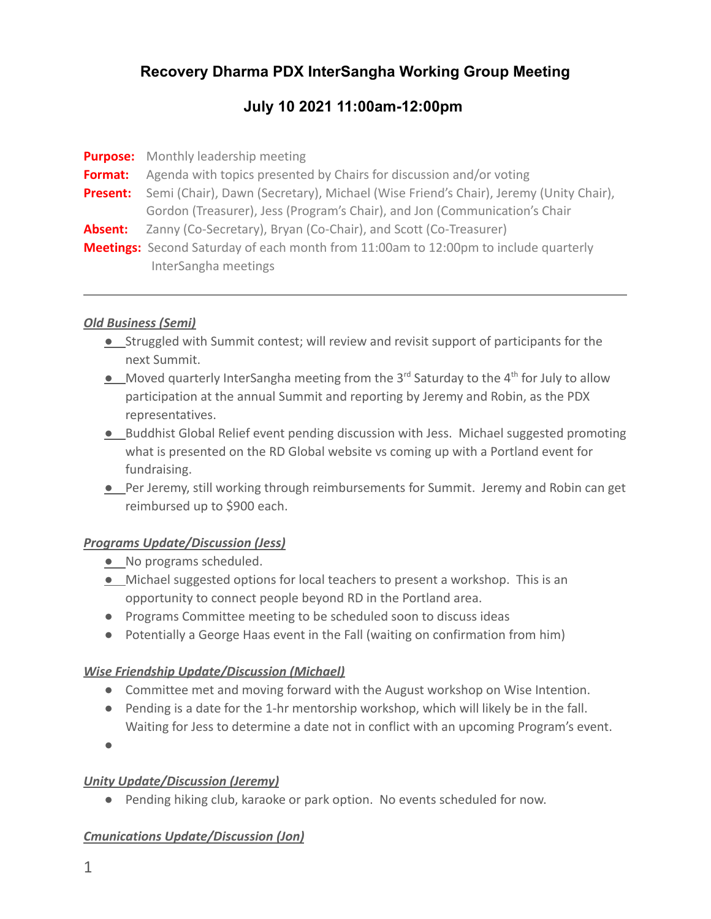# **Recovery Dharma PDX InterSangha Working Group Meeting**

# **July 10 2021 11:00am-12:00pm**

|                 | <b>Purpose:</b> Monthly leadership meeting                                                  |
|-----------------|---------------------------------------------------------------------------------------------|
| Format:         | Agenda with topics presented by Chairs for discussion and/or voting                         |
| <b>Present:</b> | Semi (Chair), Dawn (Secretary), Michael (Wise Friend's Chair), Jeremy (Unity Chair),        |
|                 | Gordon (Treasurer), Jess (Program's Chair), and Jon (Communication's Chair                  |
| Absent:         | Zanny (Co-Secretary), Bryan (Co-Chair), and Scott (Co-Treasurer)                            |
|                 | <b>Meetings:</b> Second Saturday of each month from 11:00am to 12:00pm to include quarterly |
|                 | InterSangha meetings                                                                        |

#### *Old Business (Semi)*

- *●* Struggled with Summit contest; will review and revisit support of participants for the next Summit.
- Moved quarterly InterSangha meeting from the 3<sup>rd</sup> Saturday to the 4<sup>th</sup> for July to allow participation at the annual Summit and reporting by Jeremy and Robin, as the PDX representatives.
- *●* Buddhist Global Relief event pending discussion with Jess. Michael suggested promoting what is presented on the RD Global website vs coming up with a Portland event for fundraising.
- *●* Per Jeremy, still working through reimbursements for Summit. Jeremy and Robin can get reimbursed up to \$900 each.

### *Programs Update/Discussion (Jess)*

- *●* No programs scheduled.
- *●* Michael suggested options for local teachers to present a workshop. This is an opportunity to connect people beyond RD in the Portland area.
- Programs Committee meeting to be scheduled soon to discuss ideas
- Potentially a George Haas event in the Fall (waiting on confirmation from him)

### *Wise Friendship Update/Discussion (Michael)*

- Committee met and moving forward with the August workshop on Wise Intention.
- Pending is a date for the 1-hr mentorship workshop, which will likely be in the fall. Waiting for Jess to determine a date not in conflict with an upcoming Program's event.
- ●

## *Unity Update/Discussion (Jeremy)*

● Pending hiking club, karaoke or park option. No events scheduled for now.

## *Cmunications Update/Discussion (Jon)*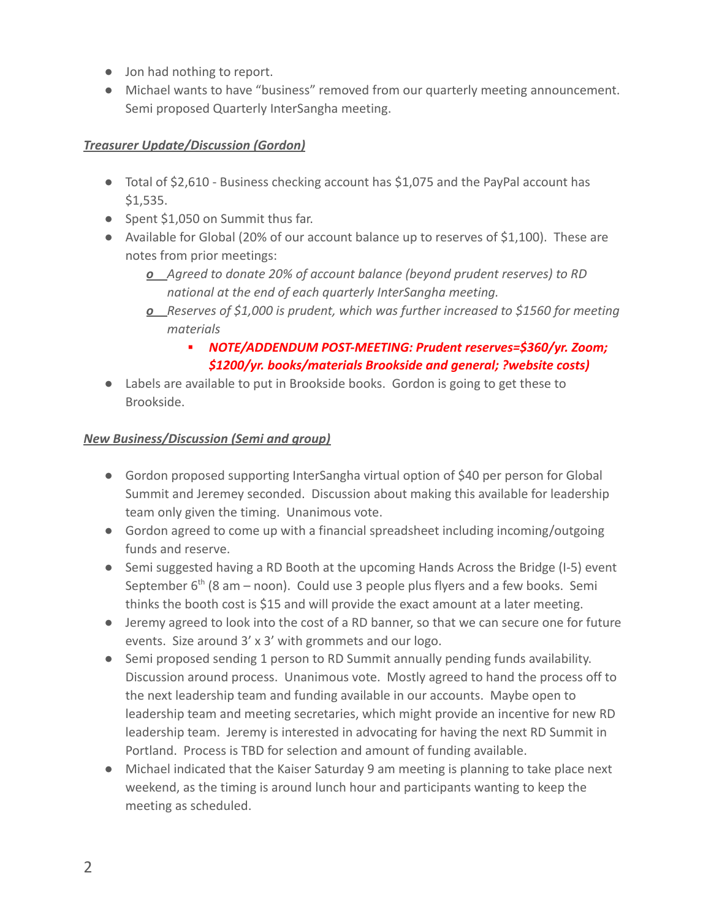- Jon had nothing to report.
- Michael wants to have "business" removed from our quarterly meeting announcement. Semi proposed Quarterly InterSangha meeting.

### *Treasurer Update/Discussion (Gordon)*

- Total of \$2,610 Business checking account has \$1,075 and the PayPal account has \$1,535.
- Spent \$1,050 on Summit thus far.
- Available for Global (20% of our account balance up to reserves of \$1,100). These are notes from prior meetings:
	- *o Agreed to donate 20% of account balance (beyond prudent reserves) to RD national at the end of each quarterly InterSangha meeting.*
	- *o Reserves of \$1,000 is prudent, which was further increased to \$1560 for meeting materials*
		- *▪ NOTE/ADDENDUM POST-MEETING: Prudent reserves=\$360/yr. Zoom; \$1200/yr. books/materials Brookside and general; ?website costs)*
- Labels are available to put in Brookside books. Gordon is going to get these to Brookside.

### *New Business/Discussion (Semi and group)*

- Gordon proposed supporting InterSangha virtual option of \$40 per person for Global Summit and Jeremey seconded. Discussion about making this available for leadership team only given the timing. Unanimous vote.
- Gordon agreed to come up with a financial spreadsheet including incoming/outgoing funds and reserve.
- Semi suggested having a RD Booth at the upcoming Hands Across the Bridge (I-5) event September 6<sup>th</sup> (8 am – noon). Could use 3 people plus flyers and a few books. Semi thinks the booth cost is \$15 and will provide the exact amount at a later meeting.
- Jeremy agreed to look into the cost of a RD banner, so that we can secure one for future events. Size around 3' x 3' with grommets and our logo.
- Semi proposed sending 1 person to RD Summit annually pending funds availability. Discussion around process. Unanimous vote. Mostly agreed to hand the process off to the next leadership team and funding available in our accounts. Maybe open to leadership team and meeting secretaries, which might provide an incentive for new RD leadership team. Jeremy is interested in advocating for having the next RD Summit in Portland. Process is TBD for selection and amount of funding available.
- Michael indicated that the Kaiser Saturday 9 am meeting is planning to take place next weekend, as the timing is around lunch hour and participants wanting to keep the meeting as scheduled.